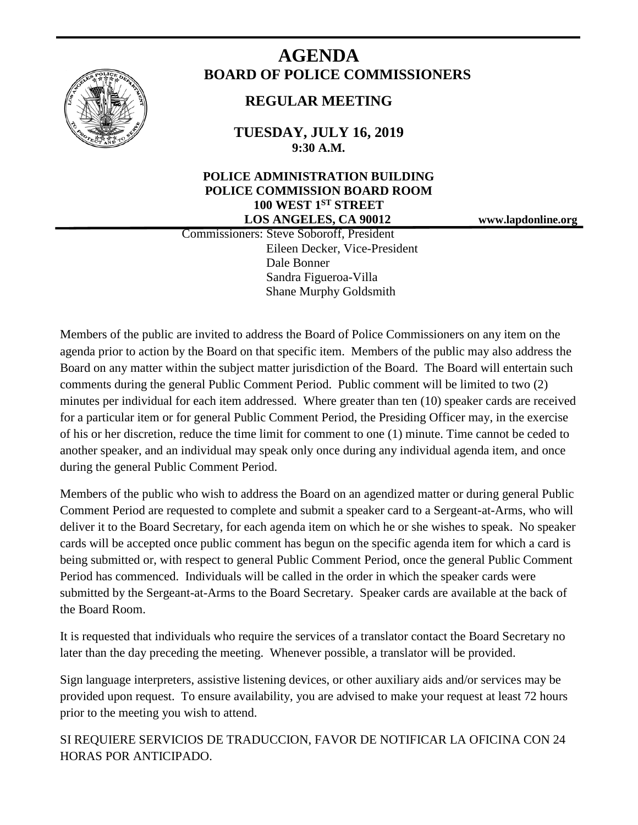

# **AGENDA BOARD OF POLICE COMMISSIONERS**

# **REGULAR MEETING**

**TUESDAY, JULY 16, 2019 9:30 A.M.**

# **POLICE ADMINISTRATION BUILDING POLICE COMMISSION BOARD ROOM 100 WEST 1ST STREET LOS ANGELES, CA 90012 www.lapdonline.org**

 Commissioners: Steve Soboroff, President Eileen Decker, Vice-President Dale Bonner Sandra Figueroa-Villa Shane Murphy Goldsmith

Members of the public are invited to address the Board of Police Commissioners on any item on the agenda prior to action by the Board on that specific item. Members of the public may also address the Board on any matter within the subject matter jurisdiction of the Board. The Board will entertain such comments during the general Public Comment Period. Public comment will be limited to two (2) minutes per individual for each item addressed. Where greater than ten (10) speaker cards are received for a particular item or for general Public Comment Period, the Presiding Officer may, in the exercise of his or her discretion, reduce the time limit for comment to one (1) minute. Time cannot be ceded to another speaker, and an individual may speak only once during any individual agenda item, and once during the general Public Comment Period.

Members of the public who wish to address the Board on an agendized matter or during general Public Comment Period are requested to complete and submit a speaker card to a Sergeant-at-Arms, who will deliver it to the Board Secretary, for each agenda item on which he or she wishes to speak. No speaker cards will be accepted once public comment has begun on the specific agenda item for which a card is being submitted or, with respect to general Public Comment Period, once the general Public Comment Period has commenced. Individuals will be called in the order in which the speaker cards were submitted by the Sergeant-at-Arms to the Board Secretary. Speaker cards are available at the back of the Board Room.

It is requested that individuals who require the services of a translator contact the Board Secretary no later than the day preceding the meeting. Whenever possible, a translator will be provided.

Sign language interpreters, assistive listening devices, or other auxiliary aids and/or services may be provided upon request. To ensure availability, you are advised to make your request at least 72 hours prior to the meeting you wish to attend.

SI REQUIERE SERVICIOS DE TRADUCCION, FAVOR DE NOTIFICAR LA OFICINA CON 24 HORAS POR ANTICIPADO.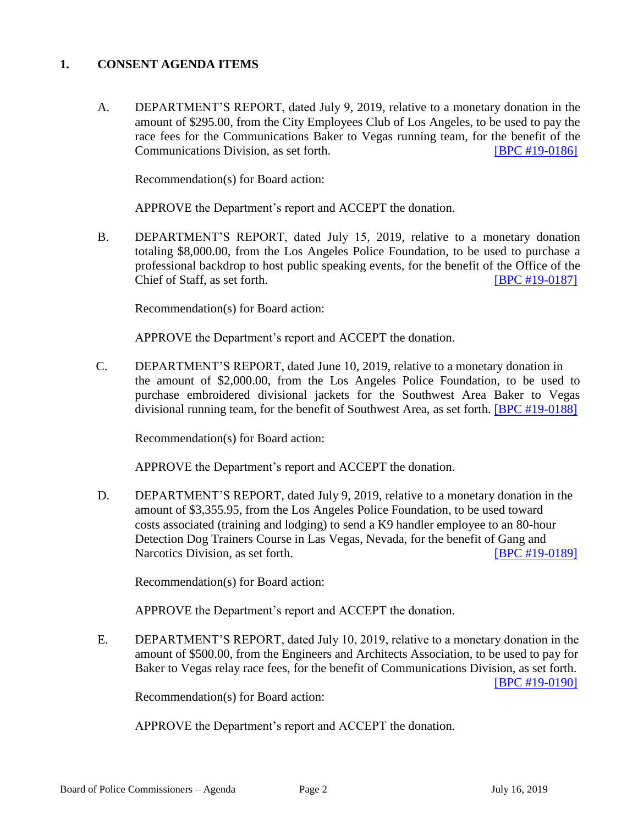### **1. CONSENT AGENDA ITEMS**

A. DEPARTMENT'S REPORT, dated July 9, 2019, relative to a monetary donation in the amount of \$295.00, from the City Employees Club of Los Angeles, to be used to pay the race fees for the Communications Baker to Vegas running team, for the benefit of the Communications Division, as set forth. [\[BPC #19-0186\]](http://www.lapdpolicecom.lacity.org/071619/BPC_19-0186.pdf)

Recommendation(s) for Board action:

APPROVE the Department's report and ACCEPT the donation.

B. DEPARTMENT'S REPORT, dated July 15, 2019, relative to a monetary donation totaling \$8,000.00, from the Los Angeles Police Foundation, to be used to purchase a professional backdrop to host public speaking events, for the benefit of the Office of the Chief of Staff, as set forth. **[\[BPC #19-0187\]](http://www.lapdpolicecom.lacity.org/071619/BPC_19-0187.pdf)** 

Recommendation(s) for Board action:

APPROVE the Department's report and ACCEPT the donation.

C. DEPARTMENT'S REPORT, dated June 10, 2019, relative to a monetary donation in the amount of \$2,000.00, from the Los Angeles Police Foundation, to be used to purchase embroidered divisional jackets for the Southwest Area Baker to Vegas divisional running team, for the benefit of Southwest Area, as set forth. [\[BPC #19-0188\]](http://www.lapdpolicecom.lacity.org/071619/BPC_19-0188.pdf)

Recommendation(s) for Board action:

APPROVE the Department's report and ACCEPT the donation.

D. DEPARTMENT'S REPORT, dated July 9, 2019, relative to a monetary donation in the amount of \$3,355.95, from the Los Angeles Police Foundation, to be used toward costs associated (training and lodging) to send a K9 handler employee to an 80-hour Detection Dog Trainers Course in Las Vegas, Nevada, for the benefit of Gang and Narcotics Division, as set forth. [\[BPC #19-0189\]](http://www.lapdpolicecom.lacity.org/071619/BPC_19-0189.pdf)

Recommendation(s) for Board action:

APPROVE the Department's report and ACCEPT the donation.

E. DEPARTMENT'S REPORT, dated July 10, 2019, relative to a monetary donation in the amount of \$500.00, from the Engineers and Architects Association, to be used to pay for Baker to Vegas relay race fees, for the benefit of Communications Division, as set forth. [\[BPC #19-0190\]](http://www.lapdpolicecom.lacity.org/071619/BPC_19-0190.pdf)

Recommendation(s) for Board action:

APPROVE the Department's report and ACCEPT the donation.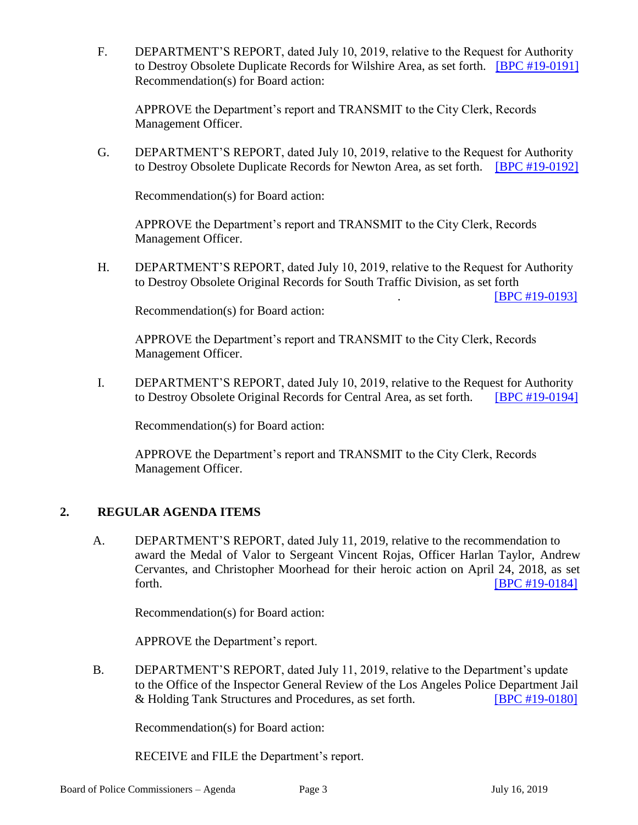F. DEPARTMENT'S REPORT, dated July 10, 2019, relative to the Request for Authority to Destroy Obsolete Duplicate Records for Wilshire Area, as set forth. **[BPC [#19-0191\]](http://www.lapdpolicecom.lacity.org/071619/BPC_19-0191.pdf)** Recommendation(s) for Board action:

APPROVE the Department's report and TRANSMIT to the City Clerk, Records Management Officer.

G. DEPARTMENT'S REPORT, dated July 10, 2019, relative to the Request for Authority to Destroy Obsolete Duplicate Records for Newton Area, as set forth. [\[BPC #19-0192\]](http://www.lapdpolicecom.lacity.org/071619/BPC_19-0192.pdf)

Recommendation(s) for Board action:

APPROVE the Department's report and TRANSMIT to the City Clerk, Records Management Officer.

H. DEPARTMENT'S REPORT, dated July 10, 2019, relative to the Request for Authority to Destroy Obsolete Original Records for South Traffic Division, as set forth

. [\[BPC #19-0193\]](http://www.lapdpolicecom.lacity.org/071619/BPC_19-0193.pdf)

Recommendation(s) for Board action:

APPROVE the Department's report and TRANSMIT to the City Clerk, Records Management Officer.

I. DEPARTMENT'S REPORT, dated July 10, 2019, relative to the Request for Authority to Destroy Obsolete Original Records for Central Area, as set forth. [\[BPC #19-0194\]](http://www.lapdpolicecom.lacity.org/071619/BPC_19-0194.pdf)

Recommendation(s) for Board action:

APPROVE the Department's report and TRANSMIT to the City Clerk, Records Management Officer.

## **2. REGULAR AGENDA ITEMS**

A. DEPARTMENT'S REPORT, dated July 11, 2019, relative to the recommendation to award the Medal of Valor to Sergeant Vincent Rojas, Officer Harlan Taylor, Andrew Cervantes, and Christopher Moorhead for their heroic action on April 24, 2018, as set forth. [\[BPC #19-0184\]](http://www.lapdpolicecom.lacity.org/071619/BPC_19-0184.pdf)

Recommendation(s) for Board action:

APPROVE the Department's report.

B. DEPARTMENT'S REPORT, dated July 11, 2019, relative to the Department's update to the Office of the Inspector General Review of the Los Angeles Police Department Jail & Holding Tank Structures and Procedures, as set forth. [\[BPC #19-0180\]](http://www.lapdpolicecom.lacity.org/071619/BPC_19-0180.pdf)

Recommendation(s) for Board action:

RECEIVE and FILE the Department's report.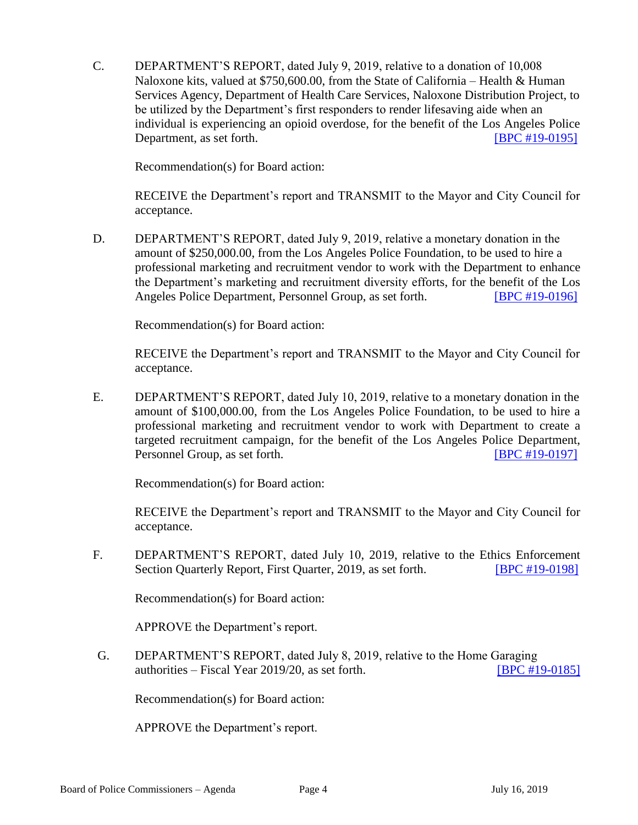C. DEPARTMENT'S REPORT, dated July 9, 2019, relative to a donation of 10,008 Naloxone kits, valued at \$750,600.00, from the State of California – Health & Human Services Agency, Department of Health Care Services, Naloxone Distribution Project, to be utilized by the Department's first responders to render lifesaving aide when an individual is experiencing an opioid overdose, for the benefit of the Los Angeles Police Department, as set forth. **IBPC #19-0195** 

Recommendation(s) for Board action:

RECEIVE the Department's report and TRANSMIT to the Mayor and City Council for acceptance.

D. DEPARTMENT'S REPORT, dated July 9, 2019, relative a monetary donation in the amount of \$250,000.00, from the Los Angeles Police Foundation, to be used to hire a professional marketing and recruitment vendor to work with the Department to enhance the Department's marketing and recruitment diversity efforts, for the benefit of the Los Angeles Police Department, Personnel Group, as set forth. [\[BPC #19-0196\]](http://www.lapdpolicecom.lacity.org/071619/BPC_19-0196.pdf)

Recommendation(s) for Board action:

RECEIVE the Department's report and TRANSMIT to the Mayor and City Council for acceptance.

E. DEPARTMENT'S REPORT, dated July 10, 2019, relative to a monetary donation in the amount of \$100,000.00, from the Los Angeles Police Foundation, to be used to hire a professional marketing and recruitment vendor to work with Department to create a targeted recruitment campaign, for the benefit of the Los Angeles Police Department, Personnel Group, as set forth. **IDPC #19-0197** 

Recommendation(s) for Board action:

RECEIVE the Department's report and TRANSMIT to the Mayor and City Council for acceptance.

F. DEPARTMENT'S REPORT, dated July 10, 2019, relative to the Ethics Enforcement Section Quarterly Report, First Quarter, 2019, as set forth. [\[BPC #19-0198\]](http://www.lapdpolicecom.lacity.org/071619/BPC_19-0198.pdf)

Recommendation(s) for Board action:

APPROVE the Department's report.

G. DEPARTMENT'S REPORT, dated July 8, 2019, relative to the Home Garaging authorities – Fiscal Year 2019/20, as set forth. [\[BPC #19-0185\]](http://www.lapdpolicecom.lacity.org/071619/BPC_19-0185.pdf)

Recommendation(s) for Board action:

APPROVE the Department's report.